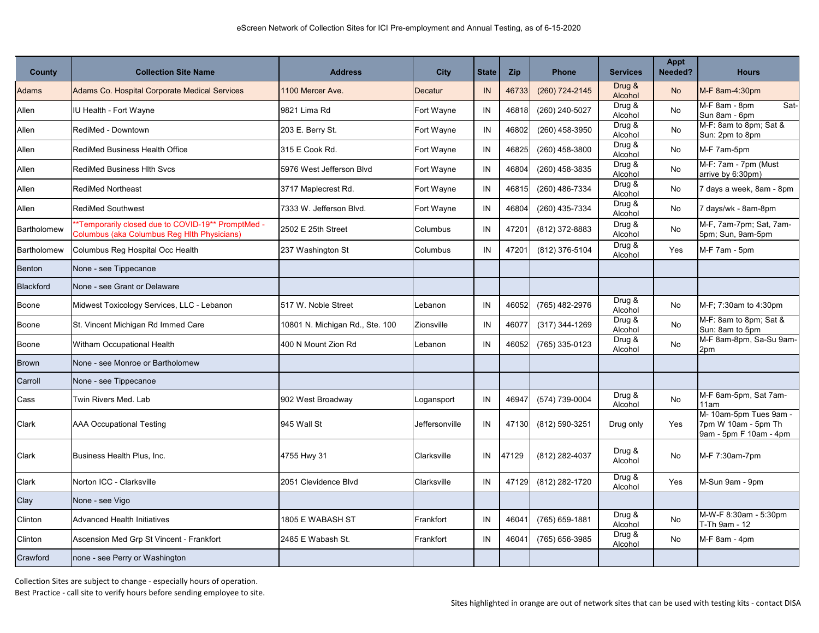| <b>County</b>    | <b>Collection Site Name</b>                                                                      | <b>Address</b>                  | <b>City</b>    | <b>State</b> | <b>Zip</b> | <b>Phone</b>   | <b>Services</b>   | <b>Appt</b><br>Needed? | <b>Hours</b>                                                            |
|------------------|--------------------------------------------------------------------------------------------------|---------------------------------|----------------|--------------|------------|----------------|-------------------|------------------------|-------------------------------------------------------------------------|
| Adams            | <b>Adams Co. Hospital Corporate Medical Services</b>                                             | 1100 Mercer Ave.                | Decatur        | IN           | 46733      | (260) 724-2145 | Drug &<br>Alcohol | <b>No</b>              | M-F 8am-4:30pm                                                          |
| Allen            | IU Health - Fort Wayne                                                                           | 9821 Lima Rd                    | Fort Wayne     | IN           | 46818      | (260) 240-5027 | Drug &<br>Alcohol | No                     | M-F 8am - 8pm<br>Sat<br>Sun 8am - 6pm                                   |
| Allen            | RediMed - Downtown                                                                               | 203 E. Berry St.                | Fort Wayne     | IN           | 46802      | (260) 458-3950 | Drug &<br>Alcohol | No                     | M-F: 8am to 8pm; Sat &<br>Sun: 2pm to 8pm                               |
| Allen            | RediMed Business Health Office                                                                   | 315 E Cook Rd.                  | Fort Wayne     | IN           | 46825      | (260) 458-3800 | Drug &<br>Alcohol | No                     | M-F 7am-5pm                                                             |
| Allen            | <b>RediMed Business Hith Svcs</b>                                                                | 5976 West Jefferson Blvd        | Fort Wayne     | IN           | 46804      | (260) 458-3835 | Drug &<br>Alcohol | No                     | M-F: 7am - 7pm (Must<br>arrive by 6:30pm)                               |
| Allen            | <b>RediMed Northeast</b>                                                                         | 3717 Maplecrest Rd.             | Fort Wayne     | IN           | 46815      | (260) 486-7334 | Drug &<br>Alcohol | No                     | 7 days a week, 8am - 8pm                                                |
| Allen            | <b>RediMed Southwest</b>                                                                         | 7333 W. Jefferson Blvd.         | Fort Wayne     | IN           | 46804      | (260) 435-7334 | Drug &<br>Alcohol | No                     | days/wk - 8am-8pm                                                       |
| Bartholomew      | *Temporarily closed due to COVID-19** PromptMed -<br>Columbus (aka Columbus Reg Hith Physicians) | 2502 E 25th Street              | Columbus       | IN           | 47201      | (812) 372-8883 | Drug &<br>Alcohol | <b>No</b>              | M-F, 7am-7pm; Sat, 7am-<br>5pm; Sun, 9am-5pm                            |
| Bartholomew      | Columbus Reg Hospital Occ Health                                                                 | 237 Washington St               | Columbus       | IN           | 47201      | (812) 376-5104 | Drug &<br>Alcohol | Yes                    | M-F 7am - 5pm                                                           |
| Benton           | None - see Tippecanoe                                                                            |                                 |                |              |            |                |                   |                        |                                                                         |
| <b>Blackford</b> | None - see Grant or Delaware                                                                     |                                 |                |              |            |                |                   |                        |                                                                         |
| Boone            | Midwest Toxicology Services, LLC - Lebanon                                                       | 517 W. Noble Street             | Lebanon        | IN           | 46052      | (765) 482-2976 | Drug &<br>Alcohol | No                     | M-F: 7:30am to 4:30pm                                                   |
| Boone            | St. Vincent Michigan Rd Immed Care                                                               | 10801 N. Michigan Rd., Ste. 100 | Zionsville     | IN           | 46077      | (317) 344-1269 | Drug &<br>Alcohol | No                     | M-F: 8am to 8pm; Sat &<br>Sun: 8am to 5pm                               |
| Boone            | Witham Occupational Health                                                                       | 400 N Mount Zion Rd             | Lebanon        | IN           | 46052      | (765) 335-0123 | Drug &<br>Alcohol | No                     | M-F 8am-8pm, Sa-Su 9am-<br>2pm                                          |
| <b>Brown</b>     | None - see Monroe or Bartholomew                                                                 |                                 |                |              |            |                |                   |                        |                                                                         |
| Carroll          | None - see Tippecanoe                                                                            |                                 |                |              |            |                |                   |                        |                                                                         |
| Cass             | Twin Rivers Med, Lab                                                                             | 902 West Broadway               | Logansport     | IN           | 46947      | (574) 739-0004 | Drug &<br>Alcohol | <b>No</b>              | M-F 6am-5pm, Sat 7am-<br>11am                                           |
| Clark            | <b>AAA Occupational Testing</b>                                                                  | 945 Wall St                     | Jeffersonville | IN           | 47130      | (812) 590-3251 | Drug only         | Yes                    | M- 10am-5pm Tues 9am -<br>7pm W 10am - 5pm Th<br>9am - 5pm F 10am - 4pm |
| Clark            | Business Health Plus, Inc.                                                                       | 4755 Hwy 31                     | Clarksville    | IN           | 47129      | (812) 282-4037 | Drug &<br>Alcohol | No                     | M-F 7:30am-7pm                                                          |
| Clark            | Norton ICC - Clarksville                                                                         | 2051 Clevidence Blvd            | Clarksville    | IN           | 47129      | (812) 282-1720 | Drug &<br>Alcohol | Yes                    | M-Sun 9am - 9pm                                                         |
| Clay             | None - see Vigo                                                                                  |                                 |                |              |            |                |                   |                        |                                                                         |
| Clinton          | <b>Advanced Health Initiatives</b>                                                               | 1805 E WABASH ST                | Frankfort      | IN           | 46041      | (765) 659-1881 | Drug &<br>Alcohol | No                     | M-W-F 8:30am - 5:30pm<br>T-Th 9am - 12                                  |
| Clinton          | Ascension Med Grp St Vincent - Frankfort                                                         | 2485 E Wabash St.               | Frankfort      | IN           | 46041      | (765) 656-3985 | Drug &<br>Alcohol | No                     | M-F 8am - 4pm                                                           |
| Crawford         | none - see Perry or Washington                                                                   |                                 |                |              |            |                |                   |                        |                                                                         |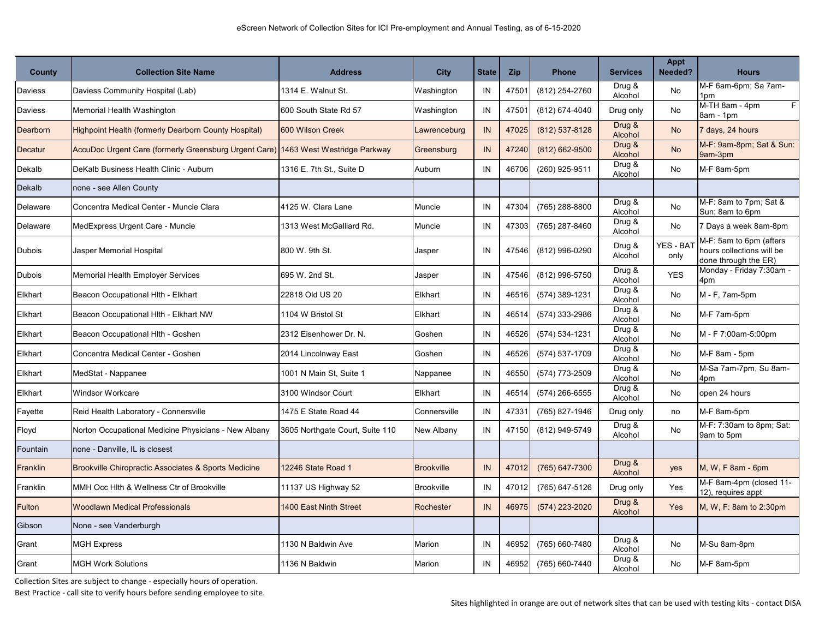| County        | <b>Collection Site Name</b>                           | <b>Address</b>                  | <b>City</b>       | <b>State</b> | <b>Zip</b> | <b>Phone</b>   | <b>Services</b>   | Appt<br>Needed?  | <b>Hours</b>                                                                 |
|---------------|-------------------------------------------------------|---------------------------------|-------------------|--------------|------------|----------------|-------------------|------------------|------------------------------------------------------------------------------|
| Daviess       | Daviess Community Hospital (Lab)                      | 1314 E. Walnut St.              | Washington        | IN           | 47501      | (812) 254-2760 | Drug &<br>Alcohol | No               | M-F 6am-6pm; Sa 7am-<br>1pm                                                  |
| Daviess       | Memorial Health Washington                            | 600 South State Rd 57           | Washington        | IN           | 47501      | (812) 674-4040 | Drug only         | No               | M-TH 8am - 4pm<br>F<br>8am - 1pm                                             |
| Dearborn      | Highpoint Health (formerly Dearborn County Hospital)  | 600 Wilson Creek                | Lawrenceburg      | IN           | 47025      | (812) 537-8128 | Drug &<br>Alcohol | <b>No</b>        | 7 days, 24 hours                                                             |
| Decatur       | AccuDoc Urgent Care (formerly Greensburg Urgent Care) | 1463 West Westridge Parkway     | Greensburg        | IN           | 47240      | (812) 662-9500 | Drug &<br>Alcohol | <b>No</b>        | M-F: 9am-8pm; Sat & Sun:<br>9am-3pm                                          |
| Dekalb        | DeKalb Business Health Clinic - Auburn                | 1316 E. 7th St., Suite D        | Auburn            | IN           | 46706      | (260) 925-9511 | Drug &<br>Alcohol | No               | M-F 8am-5pm                                                                  |
| Dekalb        | none - see Allen County                               |                                 |                   |              |            |                |                   |                  |                                                                              |
| Delaware      | Concentra Medical Center - Muncie Clara               | 4125 W. Clara Lane              | Muncie            | IN           | 47304      | (765) 288-8800 | Drug &<br>Alcohol | No               | M-F: 8am to 7pm; Sat &<br>Sun: 8am to 6pm                                    |
| Delaware      | MedExpress Urgent Care - Muncie                       | 1313 West McGalliard Rd.        | Muncie            | IN           | 47303      | (765) 287-8460 | Drug &<br>Alcohol | No               | 7 Days a week 8am-8pm                                                        |
| Dubois        | Jasper Memorial Hospital                              | 800 W. 9th St.                  | Jasper            | IN           | 47546      | (812) 996-0290 | Drug &<br>Alcohol | YES - BA<br>only | M-F: 5am to 6pm (afters<br>hours collections will be<br>done through the ER) |
| <b>Dubois</b> | <b>Memorial Health Employer Services</b>              | 695 W. 2nd St.                  | Jasper            | IN           | 47546      | (812) 996-5750 | Drug &<br>Alcohol | <b>YES</b>       | Monday - Friday 7:30am -<br>4pm                                              |
| Elkhart       | Beacon Occupational Hith - Elkhart                    | 22818 Old US 20                 | Elkhart           | IN           | 46516      | (574) 389-1231 | Drug &<br>Alcohol | No               | M - F, 7am-5pm                                                               |
| Elkhart       | Beacon Occupational Hith - Elkhart NW                 | 1104 W Bristol St               | Elkhart           | IN           | 46514      | (574) 333-2986 | Drug &<br>Alcohol | No               | M-F 7am-5pm                                                                  |
| Elkhart       | Beacon Occupational Hith - Goshen                     | 2312 Eisenhower Dr. N.          | Goshen            | IN           | 46526      | (574) 534-1231 | Drug &<br>Alcohol | No               | M - F 7:00am-5:00pm                                                          |
| Elkhart       | Concentra Medical Center - Goshen                     | 2014 Lincolnway East            | Goshen            | IN           | 46526      | (574) 537-1709 | Drug &<br>Alcohol | No               | M-F 8am - 5pm                                                                |
| Elkhart       | MedStat - Nappanee                                    | 1001 N Main St. Suite 1         | Nappanee          | IN           | 46550      | (574) 773-2509 | Drug &<br>Alcohol | No               | M-Sa 7am-7pm, Su 8am-<br>4pm                                                 |
| Elkhart       | <b>Windsor Workcare</b>                               | 3100 Windsor Court              | Elkhart           | IN           | 46514      | (574) 266-6555 | Drug &<br>Alcohol | No               | open 24 hours                                                                |
| Fayette       | Reid Health Laboratory - Connersville                 | 1475 E State Road 44            | Connersville      | IN           | 47331      | (765) 827-1946 | Drug only         | no               | M-F 8am-5pm                                                                  |
| Floyd         | Norton Occupational Medicine Physicians - New Albany  | 3605 Northgate Court, Suite 110 | New Albany        | IN           | 47150      | (812) 949-5749 | Drug &<br>Alcohol | No               | M-F: 7:30am to 8pm; Sat:<br>9am to 5pm                                       |
| Fountain      | none - Danville. IL is closest                        |                                 |                   |              |            |                |                   |                  |                                                                              |
| Franklin      | Brookville Chiropractic Associates & Sports Medicine  | 12246 State Road 1              | <b>Brookville</b> | IN           | 47012      | (765) 647-7300 | Drug &<br>Alcohol | <b>yes</b>       | M, W, F 8am - 6pm                                                            |
| Franklin      | MMH Occ Hith & Wellness Ctr of Brookville             | 11137 US Highway 52             | <b>Brookville</b> | IN           | 47012      | (765) 647-5126 | Drug only         | Yes              | M-F 8am-4pm (closed 11-<br>12), requires appt                                |
| <b>Fulton</b> | <b>Woodlawn Medical Professionals</b>                 | 1400 East Ninth Street          | Rochester         | IN           | 46975      | (574) 223-2020 | Drug &<br>Alcohol | Yes              | M, W, F: 8am to 2:30pm                                                       |
| Gibson        | None - see Vanderburgh                                |                                 |                   |              |            |                |                   |                  |                                                                              |
| Grant         | <b>MGH Express</b>                                    | 1130 N Baldwin Ave              | Marion            | IN           | 46952      | (765) 660-7480 | Drug &<br>Alcohol | No               | M-Su 8am-8pm                                                                 |
| Grant         | <b>MGH Work Solutions</b>                             | 1136 N Baldwin                  | Marion            | IN           | 46952      | (765) 660-7440 | Drug &<br>Alcohol | No               | M-F 8am-5pm                                                                  |

Collection Sites are subject to change - especially hours of operation.

Best Practice - call site to verify hours before sending employee to site.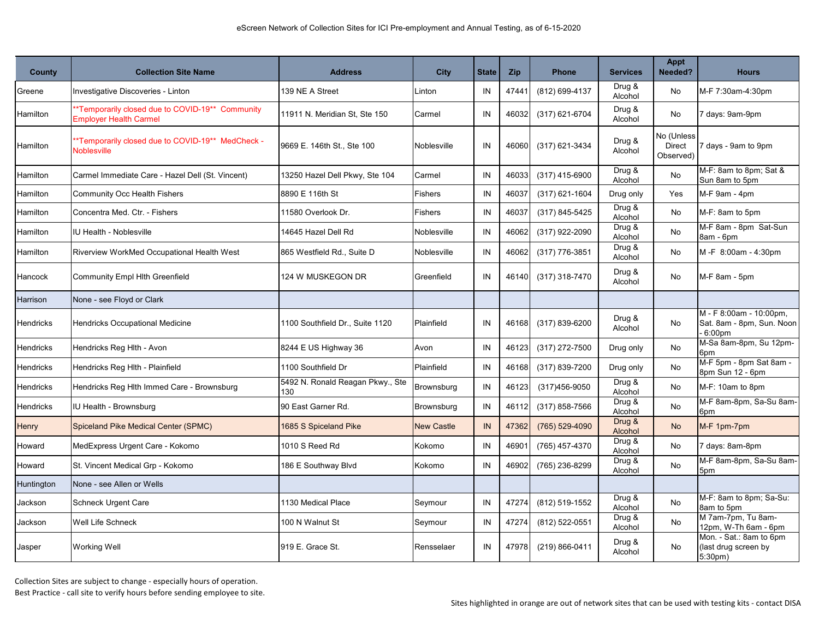| <b>County</b>    | <b>Collection Site Name</b>                                                      | <b>Address</b>                          | City              | <b>State</b> | Zip   | <b>Phone</b>     | <b>Services</b>   | Appt<br>Needed?                          | <b>Hours</b>                                                               |
|------------------|----------------------------------------------------------------------------------|-----------------------------------------|-------------------|--------------|-------|------------------|-------------------|------------------------------------------|----------------------------------------------------------------------------|
| Greene           | Investigative Discoveries - Linton                                               | 139 NE A Street                         | Linton            | IN           | 47441 | (812) 699-4137   | Drug &<br>Alcohol | No                                       | M-F 7:30am-4:30pm                                                          |
| Hamilton         | *Temporarily closed due to COVID-19** Community<br><b>Employer Health Carmel</b> | 11911 N. Meridian St, Ste 150           | Carmel            | IN           | 46032 | (317) 621-6704   | Drug &<br>Alcohol | No                                       | 7 days: 9am-9pm                                                            |
| Hamilton         | *Temporarily closed due to COVID-19** MedCheck -<br><b>Noblesville</b>           | 9669 E. 146th St., Ste 100              | Noblesville       | IN           | 46060 | (317) 621-3434   | Drug &<br>Alcohol | No (Unless<br><b>Direct</b><br>Observed) | 7 days - 9am to 9pm                                                        |
| Hamilton         | Carmel Immediate Care - Hazel Dell (St. Vincent)                                 | 13250 Hazel Dell Pkwy, Ste 104          | Carmel            | IN           | 46033 | $(317)$ 415-6900 | Drug &<br>Alcohol | No                                       | M-F: 8am to 8pm; Sat &<br>Sun 8am to 5pm                                   |
| Hamilton         | Community Occ Health Fishers                                                     | 8890 E 116th St                         | <b>Fishers</b>    | IN           | 46037 | $(317)$ 621-1604 | Drug only         | Yes                                      | M-F 9am - 4pm                                                              |
| Hamilton         | Concentra Med. Ctr. - Fishers                                                    | 11580 Overlook Dr.                      | Fishers           | IN           | 46037 | (317) 845-5425   | Drug &<br>Alcohol | No                                       | M-F: 8am to 5pm                                                            |
| Hamilton         | IU Health - Noblesville                                                          | 14645 Hazel Dell Rd                     | Noblesville       | IN           | 46062 | (317) 922-2090   | Drug &<br>Alcohol | <b>No</b>                                | M-F 8am - 8pm Sat-Sun<br>8am - 6pm                                         |
| Hamilton         | Riverview WorkMed Occupational Health West                                       | 865 Westfield Rd., Suite D              | Noblesville       | IN           | 46062 | (317) 776-3851   | Drug &<br>Alcohol | No                                       | M-F 8:00am - 4:30pm                                                        |
| Hancock          | Community Empl Hlth Greenfield                                                   | 124 W MUSKEGON DR                       | Greenfield        | IN           | 46140 | (317) 318-7470   | Drug &<br>Alcohol | No                                       | M-F 8am - 5pm                                                              |
| Harrison         | None - see Floyd or Clark                                                        |                                         |                   |              |       |                  |                   |                                          |                                                                            |
| Hendricks        | Hendricks Occupational Medicine                                                  | 1100 Southfield Dr., Suite 1120         | Plainfield        | IN           | 46168 | (317) 839-6200   | Drug &<br>Alcohol | No                                       | M - F 8:00am - 10:00pm,<br>Sat. 8am - 8pm, Sun. Noon<br>6:00 <sub>pm</sub> |
| Hendricks        | Hendricks Reg Hlth - Avon                                                        | 8244 E US Highway 36                    | Avon              | IN           | 46123 | (317) 272-7500   | Drug only         | No                                       | M-Sa 8am-8pm, Su 12pm-<br>6 <sub>pm</sub>                                  |
| Hendricks        | Hendricks Reg Hlth - Plainfield                                                  | 1100 Southfield Dr                      | Plainfield        | IN           | 46168 | (317) 839-7200   | Drug only         | No                                       | M-F 5pm - 8pm Sat 8am -<br>8pm Sun 12 - 6pm                                |
| <b>Hendricks</b> | Hendricks Reg Hlth Immed Care - Brownsburg                                       | 5492 N. Ronald Reagan Pkwy., Ste<br>130 | Brownsburg        | IN           | 46123 | (317) 456-9050   | Drug &<br>Alcohol | No                                       | M-F: 10am to 8pm                                                           |
| Hendricks        | IU Health - Brownsburg                                                           | 90 East Garner Rd.                      | Brownsburg        | IN           | 46112 | $(317)$ 858-7566 | Drug &<br>Alcohol | No                                       | M-F 8am-8pm, Sa-Su 8am-<br>6 <sub>pm</sub>                                 |
| Henry            | Spiceland Pike Medical Center (SPMC)                                             | 1685 S Spiceland Pike                   | <b>New Castle</b> | IN           | 47362 | (765) 529-4090   | Drug &<br>Alcohol | <b>No</b>                                | M-F 1pm-7pm                                                                |
| Howard           | MedExpress Urgent Care - Kokomo                                                  | 1010 S Reed Rd                          | Kokomo            | IN           | 4690  | (765) 457-4370   | Drug &<br>Alcohol | No                                       | 7 days: 8am-8pm                                                            |
| Howard           | St. Vincent Medical Grp - Kokomo                                                 | 186 E Southway Blvd                     | Kokomo            | IN           | 46902 | (765) 236-8299   | Drug &<br>Alcohol | No                                       | M-F 8am-8pm, Sa-Su 8am-<br>5pm                                             |
| Huntington       | None - see Allen or Wells                                                        |                                         |                   |              |       |                  |                   |                                          |                                                                            |
| Jackson          | <b>Schneck Urgent Care</b>                                                       | 1130 Medical Place                      | Seymour           | IN           | 47274 | (812) 519-1552   | Drug &<br>Alcohol | No                                       | M-F: 8am to 8pm; Sa-Su:<br>8am to 5pm                                      |
| Jackson          | Well Life Schneck                                                                | 100 N Walnut St                         | Seymour           | IN           | 47274 | (812) 522-0551   | Drug &<br>Alcohol | No                                       | M 7am-7pm, Tu 8am-<br>12pm, W-Th 6am - 6pm                                 |
| Jasper           | Working Well                                                                     | 919 E. Grace St.                        | Rensselaer        | IN           | 47978 | (219) 866-0411   | Drug &<br>Alcohol | No                                       | Mon. - Sat.: 8am to 6pm<br>(last drug screen by<br>5:30pm)                 |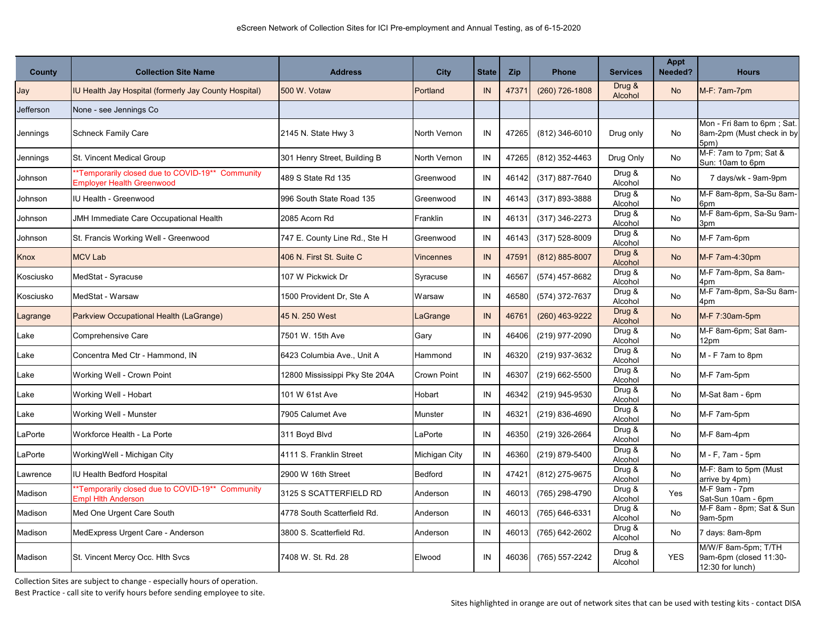| <b>County</b> | <b>Collection Site Name</b>                                                         | <b>Address</b>                 | <b>City</b>         | <b>State</b> | Zip   | <b>Phone</b>       | <b>Services</b>   | Appt<br>Needed? | <b>Hours</b>                                                      |
|---------------|-------------------------------------------------------------------------------------|--------------------------------|---------------------|--------------|-------|--------------------|-------------------|-----------------|-------------------------------------------------------------------|
| Jay           | IU Health Jay Hospital (formerly Jay County Hospital)                               | 500 W. Votaw                   | Portland            | IN           | 47371 | $(260)$ 726-1808   | Drug &<br>Alcohol | <b>No</b>       | M-F: 7am-7pm                                                      |
| Jefferson     | None - see Jennings Co                                                              |                                |                     |              |       |                    |                   |                 |                                                                   |
| Jennings      | <b>Schneck Family Care</b>                                                          | 2145 N. State Hwy 3            | North Vernon        | IN           | 47265 | (812) 346-6010     | Drug only         | No              | Mon - Fri 8am to 6pm; Sat.<br>8am-2pm (Must check in by<br>5pm)   |
| Jennings      | St. Vincent Medical Group                                                           | 301 Henry Street, Building B   | <b>North Vernon</b> | IN           | 47265 | (812) 352-4463     | Drug Only         | No              | M-F: 7am to 7pm; Sat &<br>Sun: 10am to 6pm                        |
| Johnson       | *Temporarily closed due to COVID-19** Community<br><b>Employer Health Greenwood</b> | 489 S State Rd 135             | Greenwood           | IN           | 46142 | (317) 887-7640     | Drug &<br>Alcohol | No              | 7 days/wk - 9am-9pm                                               |
| Johnson       | <b>IU Health - Greenwood</b>                                                        | 996 South State Road 135       | Greenwood           | IN           | 46143 | (317) 893-3888     | Drug &<br>Alcohol | No              | M-F 8am-8pm, Sa-Su 8am-<br>6pm                                    |
| Johnson       | JMH Immediate Care Occupational Health                                              | 2085 Acorn Rd                  | Franklin            | IN           | 46131 | (317) 346-2273     | Drug &<br>Alcohol | No              | M-F 8am-6pm, Sa-Su 9am-<br>3pm                                    |
| Johnson       | St. Francis Working Well - Greenwood                                                | 747 E. County Line Rd., Ste H  | Greenwood           | IN           | 46143 | $(317) 528 - 8009$ | Drug &<br>Alcohol | No              | M-F 7am-6pm                                                       |
| Knox          | <b>MCV Lab</b>                                                                      | 406 N. First St. Suite C       | <b>Vincennes</b>    | IN           | 47591 | (812) 885-8007     | Drug &<br>Alcohol | <b>No</b>       | M-F 7am-4:30pm                                                    |
| Kosciusko     | MedStat - Syracuse                                                                  | 107 W Pickwick Dr              | Syracuse            | IN           | 46567 | (574) 457-8682     | Drug &<br>Alcohol | No              | M-F 7am-8pm, Sa 8am-<br>4pm                                       |
| Kosciusko     | MedStat - Warsaw                                                                    | 1500 Provident Dr, Ste A       | Warsaw              | IN           | 46580 | (574) 372-7637     | Drug &<br>Alcohol | No              | M-F 7am-8pm, Sa-Su 8am-<br>4pm                                    |
| Lagrange      | Parkview Occupational Health (LaGrange)                                             | 45 N. 250 West                 | LaGrange            | IN           | 46761 | $(260)$ 463-9222   | Drug &<br>Alcohol | No              | M-F 7:30am-5pm                                                    |
| Lake          | Comprehensive Care                                                                  | 7501 W. 15th Ave               | Gary                | IN           | 46406 | (219) 977-2090     | Drug &<br>Alcohol | No              | M-F 8am-6pm; Sat 8am-<br>12pm                                     |
| Lake          | Concentra Med Ctr - Hammond, IN                                                     | 6423 Columbia Ave., Unit A     | Hammond             | IN           | 46320 | (219) 937-3632     | Drug &<br>Alcohol | No              | M - F 7am to 8pm                                                  |
| Lake          | Working Well - Crown Point                                                          | 12800 Mississippi Pky Ste 204A | Crown Point         | IN           | 46307 | (219) 662-5500     | Drug &<br>Alcohol | No              | M-F 7am-5pm                                                       |
| Lake          | Working Well - Hobart                                                               | 101 W 61st Ave                 | Hobart              | IN           | 46342 | (219) 945-9530     | Drug &<br>Alcohol | No              | M-Sat 8am - 6pm                                                   |
| Lake          | Working Well - Munster                                                              | 7905 Calumet Ave               | Munster             | IN           | 46321 | (219) 836-4690     | Drug &<br>Alcohol | No              | M-F 7am-5pm                                                       |
| LaPorte       | Workforce Health - La Porte                                                         | 311 Boyd Blvd                  | LaPorte             | IN           | 46350 | (219) 326-2664     | Drug &<br>Alcohol | No              | M-F 8am-4pm                                                       |
| LaPorte       | WorkingWell - Michigan City                                                         | 4111 S. Franklin Street        | Michigan City       | IN           | 46360 | (219) 879-5400     | Drug &<br>Alcohol | No              | M - F, 7am - 5pm                                                  |
| Lawrence      | IU Health Bedford Hospital                                                          | 2900 W 16th Street             | Bedford             | IN           | 47421 | (812) 275-9675     | Drug &<br>Alcohol | No              | M-F: 8am to 5pm (Must<br>arrive by 4pm)                           |
| Madison       | *Temporarily closed due to COVID-19** Community<br><b>Empl Hith Anderson</b>        | 3125 S SCATTERFIELD RD         | Anderson            | IN           | 46013 | (765) 298-4790     | Drug &<br>Alcohol | Yes             | M-F 9am - 7pm<br>Sat-Sun 10am - 6pm                               |
| Madison       | Med One Urgent Care South                                                           | 4778 South Scatterfield Rd.    | Anderson            | IN           | 46013 | (765) 646-6331     | Drug &<br>Alcohol | <b>No</b>       | M-F 8am - 8pm; Sat & Sun<br>9am-5pm                               |
| Madison       | MedExpress Urgent Care - Anderson                                                   | 3800 S. Scatterfield Rd.       | Anderson            | IN           | 46013 | (765) 642-2602     | Drug &<br>Alcohol | No              | 7 days: 8am-8pm                                                   |
| Madison       | St. Vincent Mercy Occ. Hith Svcs                                                    | 7408 W. St. Rd. 28             | Elwood              | IN           | 46036 | (765) 557-2242     | Drug &<br>Alcohol | <b>YES</b>      | M/W/F 8am-5pm; T/TH<br>9am-6pm (closed 11:30-<br>12:30 for lunch) |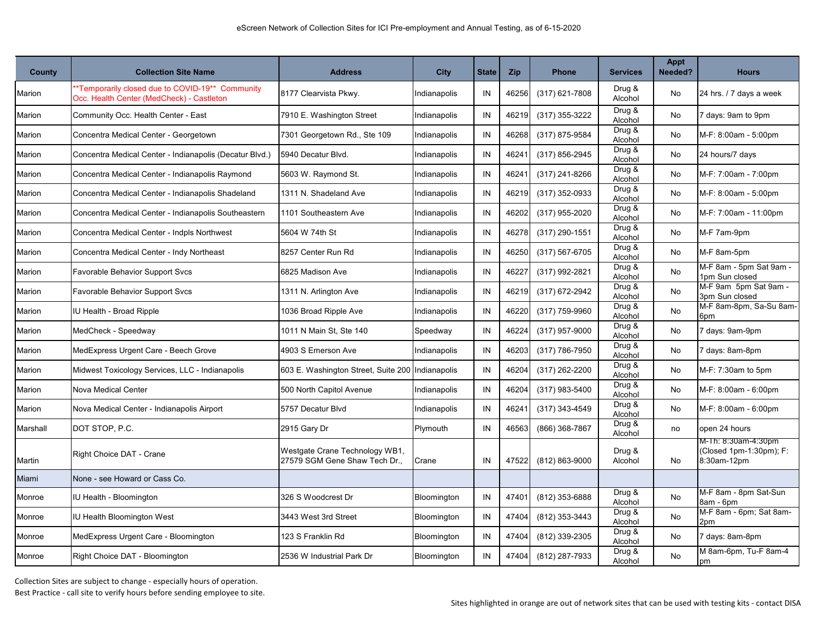| County   | <b>Collection Site Name</b>                                                                  | <b>Address</b>                                                  | <b>City</b>  | <b>State</b> | Zip   | <b>Phone</b>       | <b>Services</b>   | Appt<br>Needed? | <b>Hours</b>                                                  |
|----------|----------------------------------------------------------------------------------------------|-----------------------------------------------------------------|--------------|--------------|-------|--------------------|-------------------|-----------------|---------------------------------------------------------------|
| Marion   | 'Temporarily closed due to COVID-19** Community<br>Occ. Health Center (MedCheck) - Castleton | 8177 Clearvista Pkwy.                                           | Indianapolis | IN           | 46256 | $(317)$ 621-7808   | Drug &<br>Alcohol | No              | 24 hrs. / 7 days a week                                       |
| Marion   | Community Occ. Health Center - East                                                          | 7910 E. Washington Street                                       | Indianapolis | IN           | 46219 | (317) 355-3222     | Drug &<br>Alcohol | No              | 7 days: 9am to 9pm                                            |
| Marion   | Concentra Medical Center - Georgetown                                                        | 7301 Georgetown Rd., Ste 109                                    | Indianapolis | IN           | 46268 | (317) 875-9584     | Drug &<br>Alcohol | No              | M-F: 8:00am - 5:00pm                                          |
| Marion   | Concentra Medical Center - Indianapolis (Decatur Blvd.)                                      | 5940 Decatur Blvd.                                              | Indianapolis | IN           | 46241 | (317) 856-2945     | Drug &<br>Alcohol | No              | 24 hours/7 days                                               |
| Marion   | Concentra Medical Center - Indianapolis Raymond                                              | 5603 W. Raymond St.                                             | Indianapolis | IN           | 46241 | $(317)$ 241-8266   | Drug &<br>Alcohol | No              | M-F: 7:00am - 7:00pm                                          |
| Marion   | Concentra Medical Center - Indianapolis Shadeland                                            | 1311 N. Shadeland Ave                                           | Indianapolis | IN           | 46219 | $(317)$ 352-0933   | Drug &<br>Alcohol | No              | M-F: 8:00am - 5:00pm                                          |
| Marion   | Concentra Medical Center - Indianapolis Southeastern                                         | 1101 Southeastern Ave                                           | Indianapolis | IN           | 46202 | (317) 955-2020     | Drug &<br>Alcohol | No              | M-F: 7:00am - 11:00pm                                         |
| Marion   | Concentra Medical Center - Indpls Northwest                                                  | 5604 W 74th St                                                  | Indianapolis | IN           | 46278 | (317) 290-1551     | Drug &<br>Alcohol | No              | M-F 7am-9pm                                                   |
| Marion   | Concentra Medical Center - Indy Northeast                                                    | 8257 Center Run Rd                                              | Indianapolis | IN           | 46250 | $(317) 567 - 6705$ | Drug &<br>Alcohol | No              | M-F 8am-5pm                                                   |
| Marion   | Favorable Behavior Support Svcs                                                              | 6825 Madison Ave                                                | Indianapolis | IN           | 46227 | (317) 992-2821     | Drug &<br>Alcohol | No              | M-F 8am - 5pm Sat 9am -<br>1pm Sun closed                     |
| Marion   | Favorable Behavior Support Svcs                                                              | 1311 N. Arlington Ave                                           | Indianapolis | IN           | 46219 | (317) 672-2942     | Drug &<br>Alcohol | No              | M-F 9am 5pm Sat 9am -<br>3pm Sun closed                       |
| Marion   | U Health - Broad Ripple                                                                      | 1036 Broad Ripple Ave                                           | Indianapolis | IN           | 46220 | (317) 759-9960     | Drug &<br>Alcohol | No              | M-F 8am-8pm, Sa-Su 8am-<br>6pm                                |
| Marion   | MedCheck - Speedway                                                                          | 1011 N Main St, Ste 140                                         | Speedway     | IN           | 46224 | (317) 957-9000     | Drug &<br>Alcohol | No              | 7 days: 9am-9pm                                               |
| Marion   | MedExpress Urgent Care - Beech Grove                                                         | 4903 S Emerson Ave                                              | Indianapolis | IN           | 46203 | (317) 786-7950     | Drug &<br>Alcohol | No              | 7 days: 8am-8pm                                               |
| Marion   | Midwest Toxicology Services, LLC - Indianapolis                                              | 603 E. Washington Street, Suite 200   Indianapolis              |              | IN           | 46204 | (317) 262-2200     | Drug &<br>Alcohol | No              | M-F: 7:30am to 5pm                                            |
| Marion   | Nova Medical Center                                                                          | 500 North Capitol Avenue                                        | Indianapolis | IN           | 46204 | (317) 983-5400     | Drug &<br>Alcohol | No              | M-F: 8:00am - 6:00pm                                          |
| Marion   | Nova Medical Center - Indianapolis Airport                                                   | 5757 Decatur Blvd                                               | Indianapolis | IN           | 46241 | $(317)$ 343-4549   | Drug &<br>Alcohol | No              | M-F: 8:00am - 6:00pm                                          |
| Marshall | DOT STOP, P.C.                                                                               | 2915 Gary Dr                                                    | Plymouth     | IN           | 46563 | (866) 368-7867     | Drug &<br>Alcohol | no              | open 24 hours                                                 |
| Martin   | Right Choice DAT - Crane                                                                     | Westgate Crane Technology WB1,<br>27579 SGM Gene Shaw Tech Dr., | Crane        | IN           | 47522 | (812) 863-9000     | Drug &<br>Alcohol | No              | M-Th: 8:30am-4:30pm<br>(Closed 1pm-1:30pm); F:<br>8:30am-12pm |
| Miami    | None - see Howard or Cass Co.                                                                |                                                                 |              |              |       |                    |                   |                 |                                                               |
| Monroe   | U Health - Bloomington                                                                       | 326 S Woodcrest Dr                                              | Bloomington  | IN           | 47401 | (812) 353-6888     | Drug &<br>Alcohol | No              | M-F 8am - 8pm Sat-Sun<br>8am - 6pm                            |
| Monroe   | U Health Bloomington West                                                                    | 3443 West 3rd Street                                            | Bloomington  | IN           | 47404 | (812) 353-3443     | Drug &<br>Alcohol | No              | M-F 8am - 6pm; Sat 8am-<br>2pm                                |
| Monroe   | MedExpress Urgent Care - Bloomington                                                         | 123 S Franklin Rd                                               | Bloomington  | IN           | 47404 | (812) 339-2305     | Drug &<br>Alcohol | No              | 7 days: 8am-8pm                                               |
| Monroe   | Right Choice DAT - Bloomington                                                               | 2536 W Industrial Park Dr                                       | Bloomington  | IN           | 47404 | (812) 287-7933     | Drug &<br>Alcohol | No              | M 8am-6pm, Tu-F 8am-4<br>pm                                   |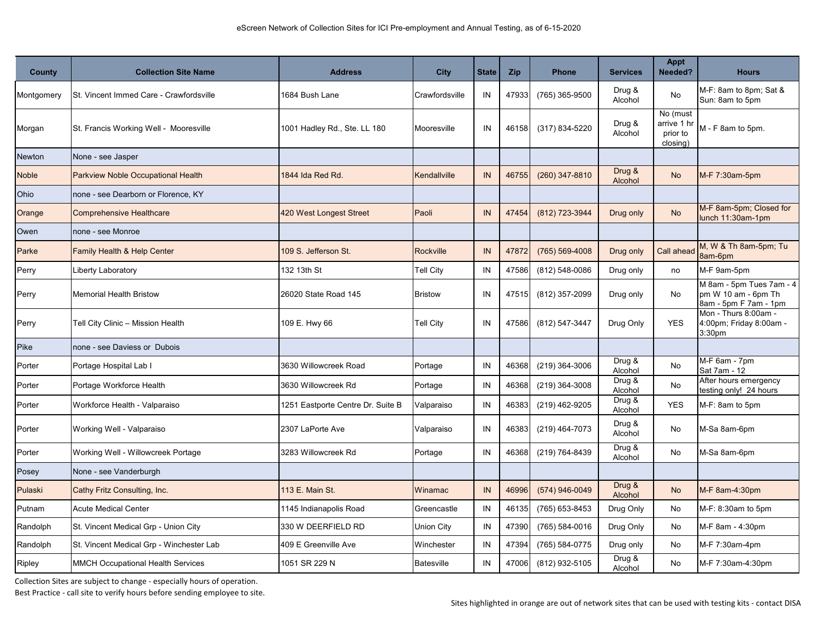| <b>County</b> | <b>Collection Site Name</b>               | <b>Address</b>                    | <b>City</b>       | <b>State</b> | Zip   | <b>Phone</b>       | <b>Services</b>   | Appt<br>Needed?                                 | <b>Hours</b>                                                             |
|---------------|-------------------------------------------|-----------------------------------|-------------------|--------------|-------|--------------------|-------------------|-------------------------------------------------|--------------------------------------------------------------------------|
| Montgomery    | St. Vincent Immed Care - Crawfordsville   | 1684 Bush Lane                    | Crawfordsville    | IN           | 47933 | (765) 365-9500     | Drug &<br>Alcohol | <b>No</b>                                       | M-F: 8am to 8pm; Sat &<br>Sun: 8am to 5pm                                |
| Morgan        | St. Francis Working Well - Mooresville    | 1001 Hadley Rd., Ste. LL 180      | Mooresville       | IN           | 46158 | (317) 834-5220     | Drug &<br>Alcohol | No (must<br>arrive 1 hr<br>prior to<br>closing) | M - F 8am to 5pm.                                                        |
| <b>Newton</b> | None - see Jasper                         |                                   |                   |              |       |                    |                   |                                                 |                                                                          |
| <b>Noble</b>  | <b>Parkview Noble Occupational Health</b> | 1844 Ida Red Rd.                  | Kendallville      | IN           | 46755 | $(260)$ 347-8810   | Drug &<br>Alcohol | <b>No</b>                                       | M-F 7:30am-5pm                                                           |
| Ohio          | none - see Dearborn or Florence, KY       |                                   |                   |              |       |                    |                   |                                                 |                                                                          |
| Orange        | <b>Comprehensive Healthcare</b>           | 420 West Longest Street           | Paoli             | IN           | 47454 | (812) 723-3944     | Drug only         | <b>No</b>                                       | M-F 8am-5pm; Closed for<br>lunch 11:30am-1pm                             |
| Owen          | none - see Monroe                         |                                   |                   |              |       |                    |                   |                                                 |                                                                          |
| Parke         | Family Health & Help Center               | 109 S. Jefferson St.              | Rockville         | IN           | 47872 | (765) 569-4008     | Drug only         | <b>Call ahead</b>                               | M, W & Th 8am-5pm; Tu<br>8am-6pm                                         |
| Perry         | Liberty Laboratory                        | 132 13th St                       | <b>Tell City</b>  | IN           | 47586 | (812) 548-0086     | Drug only         | no                                              | M-F 9am-5pm                                                              |
| Perry         | <b>Memorial Health Bristow</b>            | 26020 State Road 145              | <b>Bristow</b>    | IN           | 47515 | (812) 357-2099     | Drug only         | No                                              | M 8am - 5pm Tues 7am - 4<br>pm W 10 am - 6pm Th<br>8am - 5pm F 7am - 1pm |
| Perry         | Tell City Clinic – Mission Health         | 109 E. Hwy 66                     | <b>Tell City</b>  | IN           | 47586 | (812) 547-3447     | Drug Only         | <b>YES</b>                                      | Mon - Thurs 8:00am -<br>4:00pm; Friday 8:00am -<br>3:30pm                |
| Pike          | none - see Daviess or Dubois              |                                   |                   |              |       |                    |                   |                                                 |                                                                          |
| Porter        | Portage Hospital Lab I                    | 3630 Willowcreek Road             | Portage           | IN           | 46368 | (219) 364-3006     | Drug &<br>Alcohol | No                                              | M-F 6am - 7pm<br>Sat 7am - 12                                            |
| Porter        | Portage Workforce Health                  | 3630 Willowcreek Rd               | Portage           | IN           | 46368 | (219) 364-3008     | Drug &<br>Alcohol | No                                              | After hours emergency<br>testing only! 24 hours                          |
| Porter        | Workforce Health - Valparaiso             | 1251 Eastporte Centre Dr. Suite B | Valparaiso        | IN           | 46383 | (219) 462-9205     | Drug &<br>Alcohol | <b>YES</b>                                      | M-F: 8am to 5pm                                                          |
| Porter        | Working Well - Valparaiso                 | 2307 LaPorte Ave                  | Valparaiso        | IN           | 46383 | (219) 464-7073     | Drug &<br>Alcohol | No                                              | M-Sa 8am-6pm                                                             |
| Porter        | Working Well - Willowcreek Portage        | 3283 Willowcreek Rd               | Portage           | IN           | 46368 | (219) 764-8439     | Drug &<br>Alcohol | No                                              | M-Sa 8am-6pm                                                             |
| Posey         | None - see Vanderburgh                    |                                   |                   |              |       |                    |                   |                                                 |                                                                          |
| Pulaski       | Cathy Fritz Consulting, Inc.              | 113 E. Main St.                   | Winamac           | IN           | 46996 | (574) 946-0049     | Drug &<br>Alcohol | <b>No</b>                                       | M-F 8am-4:30pm                                                           |
| Putnam        | <b>Acute Medical Center</b>               | 1145 Indianapolis Road            | Greencastle       | IN           | 46135 | (765) 653-8453     | Drug Only         | No                                              | M-F: 8:30am to 5pm                                                       |
| Randolph      | St. Vincent Medical Grp - Union City      | 330 W DEERFIELD RD                | Union City        | IN           | 47390 | $(765) 584 - 0016$ | Drug Only         | No                                              | M-F 8am - 4:30pm                                                         |
| Randolph      | St. Vincent Medical Grp - Winchester Lab  | 409 E Greenville Ave              | Winchester        | IN           | 47394 | (765) 584-0775     | Drug only         | No                                              | M-F 7:30am-4pm                                                           |
| Ripley        | <b>MMCH Occupational Health Services</b>  | 1051 SR 229 N                     | <b>Batesville</b> | IN           | 47006 | (812) 932-5105     | Drug &<br>Alcohol | No                                              | M-F 7:30am-4:30pm                                                        |

Collection Sites are subject to change - especially hours of operation.

Best Practice - call site to verify hours before sending employee to site.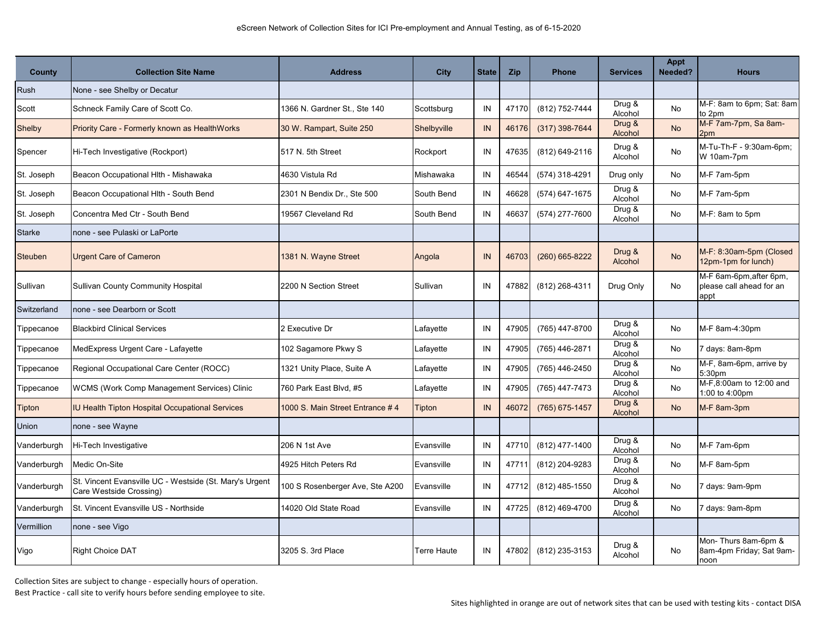| <b>County</b> | <b>Collection Site Name</b>                                                        | <b>Address</b>                   | City               | <b>State</b> | Zip   | <b>Phone</b>   | <b>Services</b>                         | <b>Appt</b><br>Needed? | <b>Hours</b>                                                |
|---------------|------------------------------------------------------------------------------------|----------------------------------|--------------------|--------------|-------|----------------|-----------------------------------------|------------------------|-------------------------------------------------------------|
| Rush          | None - see Shelby or Decatur                                                       |                                  |                    |              |       |                |                                         |                        |                                                             |
| Scott         | Schneck Family Care of Scott Co.                                                   | 1366 N. Gardner St., Ste 140     | Scottsburg         | IN           | 47170 | (812) 752-7444 | Drug &<br>Alcohol                       | No                     | M-F: 8am to 6pm; Sat: 8am<br>to 2pm                         |
| Shelby        | Priority Care - Formerly known as HealthWorks                                      | 30 W. Rampart, Suite 250         | Shelbyville        | IN           | 46176 | (317) 398-7644 | Drug &<br>Alcohol                       | <b>No</b>              | M-F 7am-7pm, Sa 8am-<br>2pm                                 |
| Spencer       | Hi-Tech Investigative (Rockport)                                                   | 517 N. 5th Street                | Rockport           | IN           | 47635 | (812) 649-2116 | Drug &<br>Alcohol                       | No                     | M-Tu-Th-F - 9:30am-6pm;<br>W 10am-7pm                       |
| St. Joseph    | Beacon Occupational Hlth - Mishawaka                                               | 4630 Vistula Rd                  | Mishawaka          | IN           | 46544 | (574) 318-4291 | Drug only                               | No                     | M-F 7am-5pm                                                 |
| St. Joseph    | Beacon Occupational Hlth - South Bend                                              | 2301 N Bendix Dr., Ste 500       | South Bend         | IN           | 46628 | (574) 647-1675 | Drug &<br>Alcohol                       | No                     | M-F 7am-5pm                                                 |
| St. Joseph    | Concentra Med Ctr - South Bend                                                     | 19567 Cleveland Rd               | South Bend         | IN           | 46637 | (574) 277-7600 | Drug &<br>Alcohol                       | No                     | M-F: 8am to 5pm                                             |
| <b>Starke</b> | none - see Pulaski or LaPorte                                                      |                                  |                    |              |       |                |                                         |                        |                                                             |
| Steuben       | <b>Urgent Care of Cameron</b>                                                      | 1381 N. Wayne Street             | Angola             | IN           | 46703 | (260) 665-8222 | Drug &<br>Alcohol                       | <b>No</b>              | M-F: 8:30am-5pm (Closed<br>12pm-1pm for lunch)              |
| Sullivan      | <b>Sullivan County Community Hospital</b>                                          | 2200 N Section Street            | Sullivan           | IN           | 47882 | (812) 268-4311 | Drug Only                               | No                     | M-F 6am-6pm, after 6pm,<br>please call ahead for an<br>appt |
| Switzerland   | none - see Dearborn or Scott                                                       |                                  |                    |              |       |                |                                         |                        |                                                             |
| Tippecanoe    | <b>Blackbird Clinical Services</b>                                                 | 2 Executive Dr                   | Lafayette          | IN           | 47905 | (765) 447-8700 | Drug &<br>Alcohol                       | No                     | M-F 8am-4:30pm                                              |
| Tippecanoe    | MedExpress Urgent Care - Lafayette                                                 | 102 Sagamore Pkwy S              | Lafayette          | IN           | 47905 | (765) 446-2871 | Drug &<br>Alcohol                       | No                     | 7 days: 8am-8pm                                             |
| Tippecanoe    | Regional Occupational Care Center (ROCC)                                           | 1321 Unity Place, Suite A        | Lafayette          | IN           | 47905 | (765) 446-2450 | Drug &<br>Alcohol                       | No                     | M-F, 8am-6pm, arrive by<br>5:30pm                           |
| Tippecanoe    | WCMS (Work Comp Management Services) Clinic                                        | 760 Park East Blvd, #5           | Lafayette          | IN           | 47905 | (765) 447-7473 | Drug &<br>Alcohol                       | No                     | M-F,8:00am to 12:00 and<br>1:00 to 4:00pm                   |
| <b>Tipton</b> | <b>IU Health Tipton Hospital Occupational Services</b>                             | 1000 S. Main Street Entrance # 4 | <b>Tipton</b>      | IN           | 46072 | (765) 675-1457 | Drug &<br>Alcohol                       | <b>No</b>              | M-F 8am-3pm                                                 |
| Union         | none - see Wayne                                                                   |                                  |                    |              |       |                |                                         |                        |                                                             |
| Vanderburgh   | Hi-Tech Investigative                                                              | 206 N 1st Ave                    | Evansville         | IN           | 47710 | (812) 477-1400 | Drug &<br>Alcohol                       | No                     | M-F 7am-6pm                                                 |
| Vanderburgh   | Medic On-Site                                                                      | 4925 Hitch Peters Rd             | Evansville         | IN           | 47711 | (812) 204-9283 | Drug &<br>Alcohol                       | No                     | M-F 8am-5pm                                                 |
| Vanderburgh   | St. Vincent Evansville UC - Westside (St. Mary's Urgent<br>Care Westside Crossing) | 100 S Rosenberger Ave, Ste A200  | Evansville         | IN           | 47712 | (812) 485-1550 | Drug &<br>Alcohol                       | No                     | 7 days: 9am-9pm                                             |
| Vanderburgh   | St. Vincent Evansville US - Northside                                              | 14020 Old State Road             | Evansville         | IN           | 47725 | (812) 469-4700 | Drug $\overline{\mathbf{g}}$<br>Alcohol | No                     | days: 9am-8pm                                               |
| Vermillion    | none - see Vigo                                                                    |                                  |                    |              |       |                |                                         |                        |                                                             |
| Vigo          | <b>Right Choice DAT</b>                                                            | 3205 S. 3rd Place                | <b>Terre Haute</b> | IN           | 47802 | (812) 235-3153 | Drug &<br>Alcohol                       | No                     | Mon-Thurs 8am-6pm &<br>8am-4pm Friday; Sat 9am-<br>noon     |